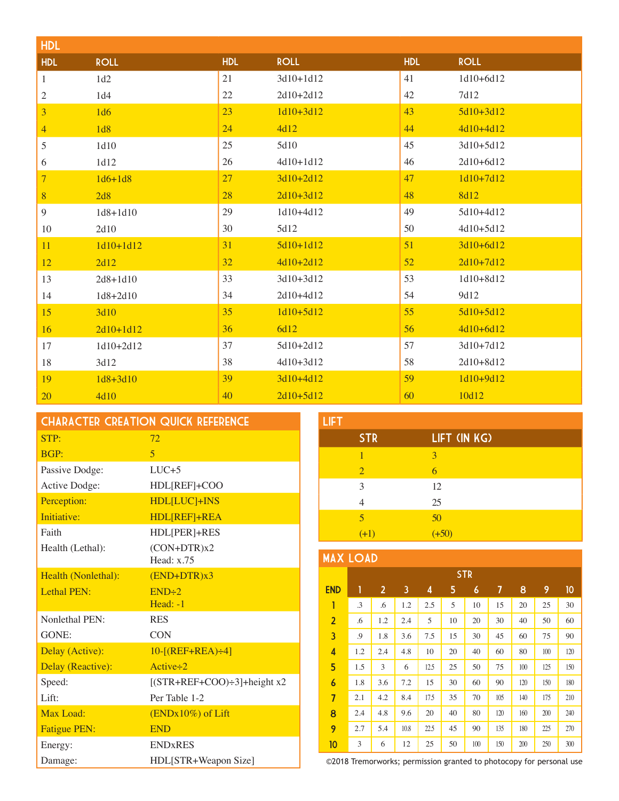| <b>HDL</b>     |              |            |             |            |             |
|----------------|--------------|------------|-------------|------------|-------------|
| <b>HDL</b>     | <b>ROLL</b>  | <b>HDL</b> | <b>ROLL</b> | <b>HDL</b> | <b>ROLL</b> |
| $\mathbf{1}$   | 1d2          | 21         | 3d10+1d12   | 41         | 1d10+6d12   |
| $\overline{c}$ | 1d4          | 22         | 2d10+2d12   | 42         | 7d12        |
| 3              | 1d6          | 23         | $1d10+3d12$ | 43         | $5d10+3d12$ |
| $\overline{4}$ | 1d8          | 24         | 4d12        | 44         | 4d10+4d12   |
| 5              | 1d10         | 25         | 5d10        | 45         | 3d10+5d12   |
| 6              | 1d12         | 26         | 4d10+1d12   | 46         | 2d10+6d12   |
| $\overline{7}$ | $1d6 + 1d8$  | 27         | $3d10+2d12$ | 47         | $1d10+7d12$ |
| $\bf 8$        | 2d8          | 28         | $2d10+3d12$ | 48         | <b>8d12</b> |
| 9              | $1d8 + 1d10$ | 29         | 1d10+4d12   | 49         | 5d10+4d12   |
| 10             | 2d10         | 30         | 5d12        | 50         | 4d10+5d12   |
| 11             | $1d10+1d12$  | 31         | $5d10+1d12$ | 51         | 3d10+6d12   |
| 12             | 2d12         | 32         | $4d10+2d12$ | 52         | $2d10+7d12$ |
| 13             | $2d8 + 1d10$ | 33         | 3d10+3d12   | 53         | 1d10+8d12   |
| 14             | 1d8+2d10     | 34         | 2d10+4d12   | 54         | 9d12        |
| 15             | 3d10         | 35         | $1d10+5d12$ | 55         | $5d10+5d12$ |
| 16             | $2d10+1d12$  | 36         | 6d12        | 56         | 4d10+6d12   |
| 17             | 1d10+2d12    | 37         | 5d10+2d12   | 57         | 3d10+7d12   |
| 18             | 3d12         | 38         | 4d10+3d12   | 58         | 2d10+8d12   |
| 19             | $1d8 + 3d10$ | 39         | 3d10+4d12   | 59         | 1d10+9d12   |
| 20             | 4d10         | 40         | $2d10+5d12$ | 60         | 10d12       |

| <b>CHARACTER CREATION QUICK REFERENCE</b> |                               |  |  |
|-------------------------------------------|-------------------------------|--|--|
| STP:                                      | 72                            |  |  |
| <b>BGP:</b>                               | $\overline{5}$                |  |  |
| Passive Dodge:                            | $LUC + 5$                     |  |  |
| Active Dodge:                             | HDL[REF]+COO                  |  |  |
| Perception:                               | <b>HDL[LUC]+INS</b>           |  |  |
| Initiative:                               | HDL[REF]+REA                  |  |  |
| Faith                                     | HDL[PER]+RES                  |  |  |
| Health (Lethal):                          | $(CON+DTR)x2$                 |  |  |
|                                           | Head: $x.75$                  |  |  |
| Health (Nonlethal):                       | $(END+DTR)x3$                 |  |  |
| Lethal PEN:                               | END:2                         |  |  |
|                                           | $Head: -1$                    |  |  |
| Nonlethal PEN:                            | <b>RES</b>                    |  |  |
| GONE:                                     | <b>CON</b>                    |  |  |
| Delay (Active):                           | $10-[REF+REA)+4]$             |  |  |
| Delay (Reactive):                         | Active $\div 2$               |  |  |
| Speed:                                    | $[(STR+REF+COO)+3]+height x2$ |  |  |
| Lift:                                     | Per Table 1-2                 |  |  |
| Max Load:                                 | (ENDx10%) of Lift             |  |  |
| <b>Fatigue PEN:</b>                       | <b>END</b>                    |  |  |
| Energy:                                   | <b>ENDxRES</b>                |  |  |
| Damage:                                   | HDL[STR+Weapon Size]          |  |  |

| <b>LIFT</b>    |              |
|----------------|--------------|
| <b>STR</b>     | LIFT (IN KG) |
| 1              | 3            |
| $\overline{2}$ | 6            |
| 3              | 12           |
|                | 25           |
| 5              | 50           |
| $(+1)$         | $(+50)$      |

## MAX LOAD

| .<br>-- <i>-</i> |            |                |      |      |    |     |     |     |     |     |
|------------------|------------|----------------|------|------|----|-----|-----|-----|-----|-----|
|                  | <b>STR</b> |                |      |      |    |     |     |     |     |     |
| <b>END</b>       | 1          | $\overline{2}$ | 3    | 4    | 5  | 6   | 7   | 8   | 9   | 10  |
| Ī                | .3         | .6             | 1.2  | 2.5  | 5  | 10  | 15  | 20  | 25  | 30  |
| $\overline{2}$   | .6         | 1.2            | 2.4  | 5    | 10 | 20  | 30  | 40  | 50  | 60  |
| 3                | .9         | 1.8            | 3.6  | 7.5  | 15 | 30  | 45  | 60  | 75  | 90  |
| 4                | 1.2        | 2.4            | 4.8  | 10   | 20 | 40  | 60  | 80  | 100 | 120 |
| 5                | 1.5        | 3              | 6    | 12.5 | 25 | 50  | 75  | 100 | 125 | 150 |
| $\boldsymbol{6}$ | 1.8        | 3.6            | 7.2  | 15   | 30 | 60  | 90  | 120 | 150 | 180 |
| $\overline{7}$   | 2.1        | 4.2            | 8.4  | 17.5 | 35 | 70  | 105 | 140 | 175 | 210 |
| 8                | 2.4        | 4.8            | 9.6  | 20   | 40 | 80  | 120 | 160 | 200 | 240 |
| 9                | 2.7        | 5.4            | 10.8 | 22.5 | 45 | 90  | 135 | 180 | 225 | 270 |
| 10               | 3          | 6              | 12   | 25   | 50 | 100 | 150 | 200 | 250 | 300 |

©2018 Tremorworks; permission granted to photocopy for personal use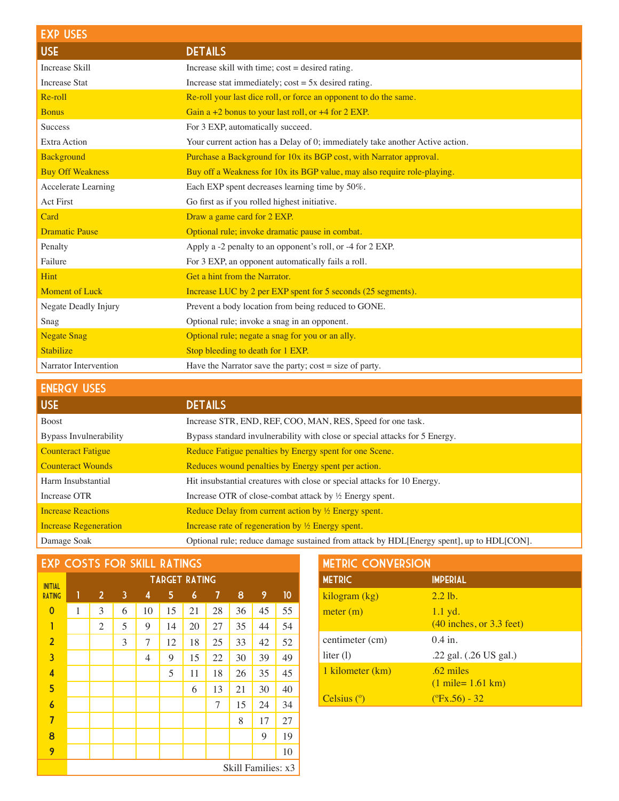| <b>EXP USES</b>         |                                                                               |
|-------------------------|-------------------------------------------------------------------------------|
| <b>USE</b>              | <b>DETAILS</b>                                                                |
| <b>Increase Skill</b>   | Increase skill with time; $cost = desired$ rating.                            |
| <b>Increase Stat</b>    | Increase stat immediately; $cost = 5x$ desired rating.                        |
| Re-roll                 | Re-roll your last dice roll, or force an opponent to do the same.             |
| <b>Bonus</b>            | Gain a $+2$ bonus to your last roll, or $+4$ for 2 EXP.                       |
| <b>Success</b>          | For 3 EXP, automatically succeed.                                             |
| Extra Action            | Your current action has a Delay of 0; immediately take another Active action. |
| <b>Background</b>       | Purchase a Background for 10x its BGP cost, with Narrator approval.           |
| <b>Buy Off Weakness</b> | Buy off a Weakness for 10x its BGP value, may also require role-playing.      |
| Accelerate Learning     | Each EXP spent decreases learning time by 50%.                                |
| <b>Act First</b>        | Go first as if you rolled highest initiative.                                 |
| Card                    | Draw a game card for 2 EXP.                                                   |
| <b>Dramatic Pause</b>   | Optional rule; invoke dramatic pause in combat.                               |
| Penalty                 | Apply a -2 penalty to an opponent's roll, or -4 for 2 EXP.                    |
| Failure                 | For 3 EXP, an opponent automatically fails a roll.                            |
| Hint                    | Get a hint from the Narrator.                                                 |
| <b>Moment of Luck</b>   | Increase LUC by 2 per EXP spent for 5 seconds (25 segments).                  |
| Negate Deadly Injury    | Prevent a body location from being reduced to GONE.                           |
| Snag                    | Optional rule; invoke a snag in an opponent.                                  |
| <b>Negate Snag</b>      | Optional rule; negate a snag for you or an ally.                              |
| <b>Stabilize</b>        | Stop bleeding to death for 1 EXP.                                             |
| Narrator Intervention   | Have the Narrator save the party; $cost = size of party$ .                    |

| <b>DETAILS</b>                                                                           |
|------------------------------------------------------------------------------------------|
| Increase STR, END, REF, COO, MAN, RES, Speed for one task.                               |
| Bypass standard invulnerability with close or special attacks for 5 Energy.              |
| Reduce Fatigue penalties by Energy spent for one Scene.                                  |
| Reduces wound penalties by Energy spent per action.                                      |
| Hit insubstantial creatures with close or special attacks for 10 Energy.                 |
| Increase OTR of close-combat attack by $\frac{1}{2}$ Energy spent.                       |
| Reduce Delay from current action by $\frac{1}{2}$ Energy spent.                          |
| Increase rate of regeneration by $\frac{1}{2}$ Energy spent.                             |
| Optional rule; reduce damage sustained from attack by HDL[Energy spent], up to HDL[CON]. |
|                                                                                          |

| <b>EXP COSTS FOR SKILL RATINGS</b> |
|------------------------------------|
|------------------------------------|

| <b>INITIAL</b>          | <b>TARGET RATING</b> |                |   |    |    |    |    |    |    |    |
|-------------------------|----------------------|----------------|---|----|----|----|----|----|----|----|
| <b>RATING</b>           | 1                    | $\overline{2}$ | 3 | 4  | 5  | 6  | 7  | 8  | 9  | 10 |
| $\overline{0}$          | 1                    | 3              | 6 | 10 | 15 | 21 | 28 | 36 | 45 | 55 |
| Ī                       |                      | $\overline{2}$ | 5 | 9  | 14 | 20 | 27 | 35 | 44 | 54 |
| $\overline{2}$          |                      |                | 3 | 7  | 12 | 18 | 25 | 33 | 42 | 52 |
| $\overline{\mathbf{3}}$ |                      |                |   | 4  | 9  | 15 | 22 | 30 | 39 | 49 |
| 4                       |                      |                |   |    | 5  | 11 | 18 | 26 | 35 | 45 |
| 5                       |                      |                |   |    |    | 6  | 13 | 21 | 30 | 40 |
| $\overline{6}$          |                      |                |   |    |    |    | 7  | 15 | 24 | 34 |
| $\overline{7}$          |                      |                |   |    |    |    |    | 8  | 17 | 27 |
| 8                       |                      |                |   |    |    |    |    |    | 9  | 19 |
| 9                       |                      |                |   |    |    |    |    |    |    | 10 |
|                         | Skill Families: x3   |                |   |    |    |    |    |    |    |    |

| <b>METRIC CONVERSION</b> |                                                     |  |  |  |
|--------------------------|-----------------------------------------------------|--|--|--|
| <b>METRIC</b>            | <b>IMPERIAL</b>                                     |  |  |  |
| kilogram (kg)            | $2.2$ lb.                                           |  |  |  |
| meter (m)                | $1.1$ yd.<br>$(40$ inches, or $3.3$ feet)           |  |  |  |
| centimeter (cm)          | $0.4$ in.                                           |  |  |  |
| liter $(l)$              | .22 gal. (.26 US gal.)                              |  |  |  |
| 1 kilometer (km)         | $.62$ miles<br>$(1 \text{ mile} = 1.61 \text{ km})$ |  |  |  |
| Celsius $(°)$            | $(^{\circ}Fx.56) - 32$                              |  |  |  |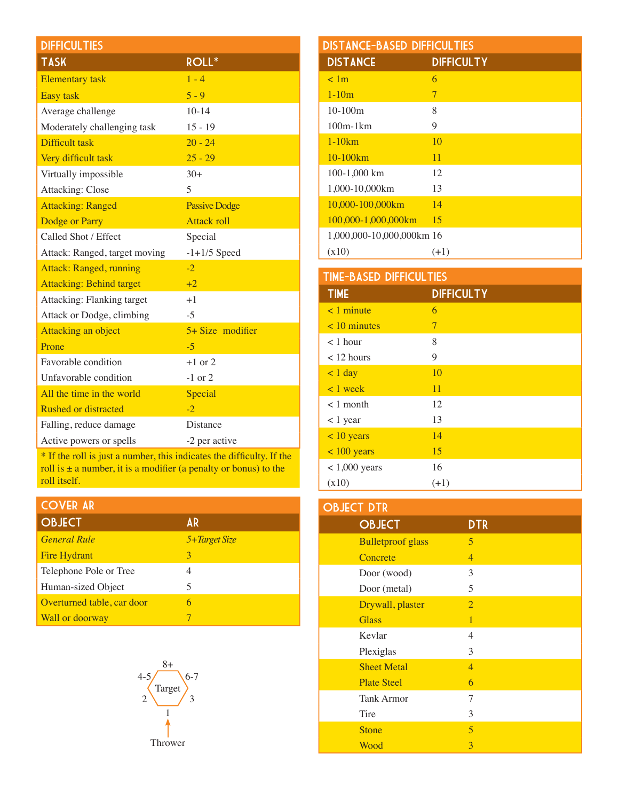| <b>DIFFICULTIES</b>             |                      |
|---------------------------------|----------------------|
| <b>TASK</b>                     | ROLL*                |
| <b>Elementary</b> task          | $1 - 4$              |
| <b>Easy task</b>                | $5 - 9$              |
| Average challenge               | $10-14$              |
| Moderately challenging task     | $15 - 19$            |
| Difficult task                  | $20 - 24$            |
| Very difficult task             | $25 - 29$            |
| Virtually impossible            | $30+$                |
| Attacking: Close                | 5                    |
| <b>Attacking: Ranged</b>        | <b>Passive Dodge</b> |
| Dodge or Parry                  | <b>Attack roll</b>   |
| Called Shot / Effect            | Special              |
| Attack: Ranged, target moving   | $-1+1/5$ Speed       |
| <b>Attack: Ranged, running</b>  | $-2$                 |
| <b>Attacking: Behind target</b> | $+2$                 |
| Attacking: Flanking target      | $+1$                 |
| Attack or Dodge, climbing       | $-5$                 |
| Attacking an object             | $5+ Size$ modifier   |
| Prone                           | $-5$                 |
| <b>Favorable condition</b>      | $+1$ or 2            |
| Unfavorable condition           | $-1$ or 2            |
| All the time in the world       | Special              |
| <b>Rushed or distracted</b>     | $-2$                 |
| Falling, reduce damage          | <b>Distance</b>      |
| Active powers or spells         | -2 per active        |

\* If the roll is just a number, this indicates the difficulty. If the roll is  $\pm$  a number, it is a modifier (a penalty or bonus) to the roll itself.

## Cover AR

| <b>OBJECT</b>              | AR            |
|----------------------------|---------------|
| <b>General Rule</b>        | 5+Target Size |
| <b>Fire Hydrant</b>        | 3             |
| Telephone Pole or Tree     | 4             |
| Human-sized Object         | 5             |
| Overturned table, car door | 6             |
| Wall or doorway            |               |



| <b>DISTANCE-BASED DIFFICULTIES</b> |                   |  |  |  |
|------------------------------------|-------------------|--|--|--|
| <b>DISTANCE</b>                    | <b>DIFFICULTY</b> |  |  |  |
| < 1m                               | 6                 |  |  |  |
| $1 - 10m$                          | 7                 |  |  |  |
| $10-100m$                          | 8                 |  |  |  |
| $100m-1km$                         | 9                 |  |  |  |
| $1-10km$                           | 10                |  |  |  |
| $10-100km$                         | 11                |  |  |  |
| 100-1,000 km                       | 12                |  |  |  |
| 1,000-10,000km                     | 13                |  |  |  |
| 10.000-100.000km                   | 14                |  |  |  |
| 100,000-1,000,000km                | 15                |  |  |  |
| 1,000,000-10,000,000km 16          |                   |  |  |  |
| (x10)                              | $(+1)$            |  |  |  |

| <b>TIME-BASED DIFFICULTIES</b> |                   |  |
|--------------------------------|-------------------|--|
| <b>TIME</b>                    | <b>DIFFICULTY</b> |  |
| $\leq 1$ minute                | 6                 |  |
| $< 10$ minutes                 | 7                 |  |
| $<$ 1 hour                     | 8                 |  |
| $< 12$ hours                   | 9                 |  |
| $< 1$ day                      | 10                |  |
| $\langle 1$ week               | 11                |  |
| $< 1$ month                    | 12                |  |
| $< 1$ year                     | 13                |  |
| $<$ 10 years                   | 14                |  |
| $< 100$ years                  | 15                |  |
| $< 1,000$ years                | 16                |  |
| (x10)                          | $(+1)$            |  |

| <b>OBJECT DTR</b>        |                |  |
|--------------------------|----------------|--|
| <b>OBJECT</b>            | <b>DTR</b>     |  |
| <b>Bulletproof glass</b> | 5              |  |
| Concrete                 | $\overline{4}$ |  |
| Door (wood)              | 3              |  |
| Door (metal)             | 5              |  |
| Drywall, plaster         | $\overline{2}$ |  |
| <b>Glass</b>             | $\mathbf{1}$   |  |
| Kevlar                   | 4              |  |
| Plexiglas                | 3              |  |
| <b>Sheet Metal</b>       | $\overline{4}$ |  |
| <b>Plate Steel</b>       | 6              |  |
| <b>Tank Armor</b>        | 7              |  |
| Tire                     | 3              |  |
| <b>Stone</b>             | 5              |  |
| Wood                     | 3              |  |